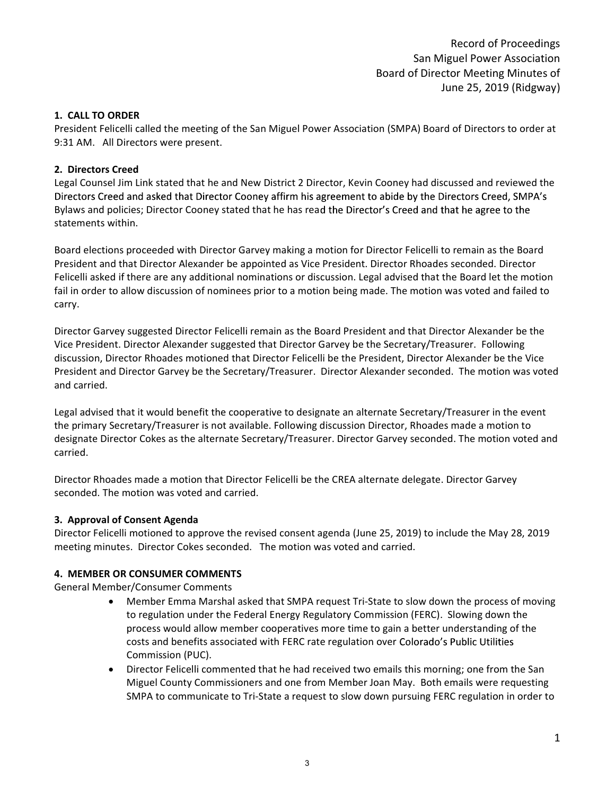Record of Proceedings San Miguel Power Association Board of Director Meeting Minutes of June 25, 2019 (Ridgway)

### 1. CALL TO ORDER

President Felicelli called the meeting of the San Miguel Power Association (SMPA) Board of Directors to order at 9:31 AM. All Directors were present.

### 2. Directors Creed

Legal Counsel Jim Link stated that he and New District 2 Director, Kevin Cooney had discussed and reviewed the Directors Creed and asked that Director Cooney affirm his agreement to abide by the Directors Creed, SMPA's Bylaws and policies; Director Cooney stated that he has read the Director's Creed and that he agree to the statements within.

Board elections proceeded with Director Garvey making a motion for Director Felicelli to remain as the Board President and that Director Alexander be appointed as Vice President. Director Rhoades seconded. Director Felicelli asked if there are any additional nominations or discussion. Legal advised that the Board let the motion fail in order to allow discussion of nominees prior to a motion being made. The motion was voted and failed to carry.

Director Garvey suggested Director Felicelli remain as the Board President and that Director Alexander be the Vice President. Director Alexander suggested that Director Garvey be the Secretary/Treasurer. Following discussion, Director Rhoades motioned that Director Felicelli be the President, Director Alexander be the Vice President and Director Garvey be the Secretary/Treasurer. Director Alexander seconded. The motion was voted and carried.

Legal advised that it would benefit the cooperative to designate an alternate Secretary/Treasurer in the event the primary Secretary/Treasurer is not available. Following discussion Director, Rhoades made a motion to designate Director Cokes as the alternate Secretary/Treasurer. Director Garvey seconded. The motion voted and carried.

Director Rhoades made a motion that Director Felicelli be the CREA alternate delegate. Director Garvey seconded. The motion was voted and carried.

### 3. Approval of Consent Agenda

Director Felicelli motioned to approve the revised consent agenda (June 25, 2019) to include the May 28, 2019 meeting minutes. Director Cokes seconded. The motion was voted and carried.

### 4. MEMBER OR CONSUMER COMMENTS

General Member/Consumer Comments

- Member Emma Marshal asked that SMPA request Tri-State to slow down the process of moving  $\bullet$ to regulation under the Federal Energy Regulatory Commission (FERC). Slowing down the process would allow member cooperatives more time to gain a better understanding of the costs and benefits associated with FERC rate regulation over Commission (PUC).
- Director Felicelli commented that he had received two emails this morning; one from the San Miguel County Commissioners and one from Member Joan May. Both emails were requesting SMPA to communicate to Tri-State a request to slow down pursuing FERC regulation in order to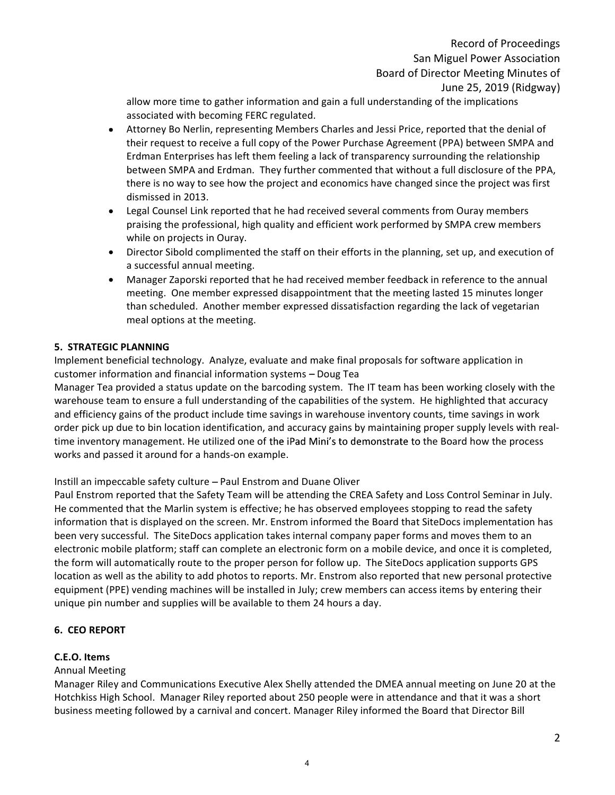allow more time to gather information and gain a full understanding of the implications associated with becoming FERC regulated.

- Attorney Bo Nerlin, representing Members Charles and Jessi Price, reported that the denial of  $\bullet$ their request to receive a full copy of the Power Purchase Agreement (PPA) between SMPA and Erdman Enterprises has left them feeling a lack of transparency surrounding the relationship between SMPA and Erdman. They further commented that without a full disclosure of the PPA, there is no way to see how the project and economics have changed since the project was first dismissed in 2013.
- Legal Counsel Link reported that he had received several comments from Ouray members praising the professional, high quality and efficient work performed by SMPA crew members while on projects in Ouray.
- Director Sibold complimented the staff on their efforts in the planning, set up, and execution of a successful annual meeting.
- $\bullet$ Manager Zaporski reported that he had received member feedback in reference to the annual meeting. One member expressed disappointment that the meeting lasted 15 minutes longer than scheduled. Another member expressed dissatisfaction regarding the lack of vegetarian meal options at the meeting.

# 5. STRATEGIC PLANNING

Implement beneficial technology. Analyze, evaluate and make final proposals for software application in customer information and financial information systems  $-$  Doug Tea

Manager Tea provided a status update on the barcoding system. The IT team has been working closely with the warehouse team to ensure a full understanding of the capabilities of the system. He highlighted that accuracy and efficiency gains of the product include time savings in warehouse inventory counts, time savings in work order pick up due to bin location identification, and accuracy gains by maintaining proper supply levels with realtime inventory management. He utilized one of the iPad Mini's to demonstrate to the Board how the process works and passed it around for a hands-on example.

Instill an impeccable safety culture - Paul Enstrom and Duane Oliver

Paul Enstrom reported that the Safety Team will be attending the CREA Safety and Loss Control Seminar in July. He commented that the Marlin system is effective; he has observed employees stopping to read the safety information that is displayed on the screen. Mr. Enstrom informed the Board that SiteDocs implementation has been very successful. The SiteDocs application takes internal company paper forms and moves them to an electronic mobile platform; staff can complete an electronic form on a mobile device, and once it is completed, the form will automatically route to the proper person for follow up. The SiteDocs application supports GPS location as well as the ability to add photos to reports. Mr. Enstrom also reported that new personal protective equipment (PPE) vending machines will be installed in July; crew members can access items by entering their unique pin number and supplies will be available to them 24 hours a day.

# 6. CEO REPORT

# C.E.O. Items

### Annual Meeting

Manager Riley and Communications Executive Alex Shelly attended the DMEA annual meeting on June 20 at the Hotchkiss High School. Manager Riley reported about 250 people were in attendance and that it was a short business meeting followed by a carnival and concert. Manager Riley informed the Board that Director Bill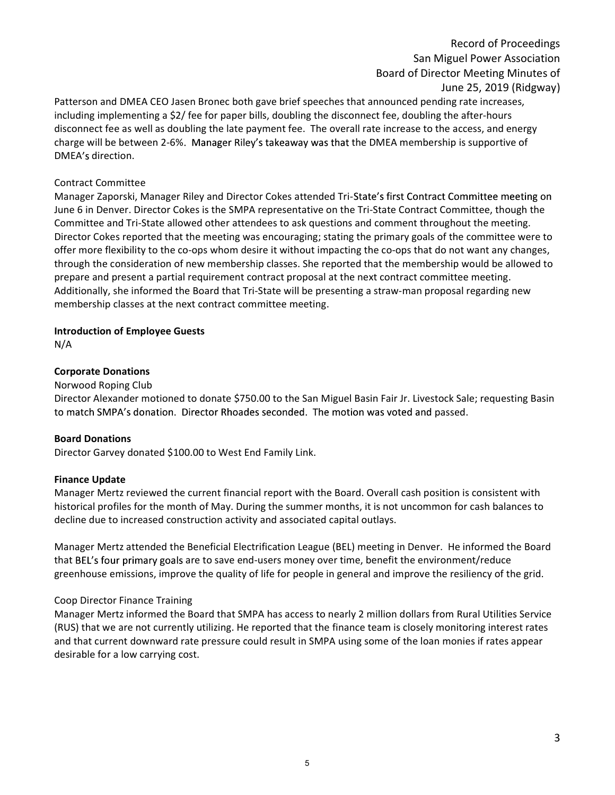# Record of Proceedings San Miguel Power Association Board of Director Meeting Minutes of June 25, 2019 (Ridgway)

Patterson and DMEA CEO Jasen Bronec both gave brief speeches that announced pending rate increases, including implementing a \$2/ fee for paper bills, doubling the disconnect fee, doubling the after-hours disconnect fee as well as doubling the late payment fee. The overall rate increase to the access, and energy charge will be between 2-6%. Manager Riley's takeaway was that the DMEA membership is supportive of DMEA's direction.

### Contract Committee

Manager Zaporski, Manager Riley and Director Cokes attended Tri-State's first Contract Committee meeting on June 6 in Denver. Director Cokes is the SMPA representative on the Tri-State Contract Committee, though the Committee and Tri-State allowed other attendees to ask questions and comment throughout the meeting. Director Cokes reported that the meeting was encouraging; stating the primary goals of the committee were to offer more flexibility to the co-ops whom desire it without impacting the co-ops that do not want any changes, through the consideration of new membership classes. She reported that the membership would be allowed to prepare and present a partial requirement contract proposal at the next contract committee meeting. Additionally, she informed the Board that Tri-State will be presenting a straw-man proposal regarding new membership classes at the next contract committee meeting.

### Introduction of Employee Guests

N/A

### Corporate Donations

### Norwood Roping Club

Director Alexander motioned to donate \$750.00 to the San Miguel Basin Fair Jr. Livestock Sale; requesting Basin to match SMPA's donation. Director Rhoades seconded. The motion was voted and passed.

#### Board Donations

Director Garvey donated \$100.00 to West End Family Link.

#### Finance Update

Manager Mertz reviewed the current financial report with the Board. Overall cash position is consistent with historical profiles for the month of May. During the summer months, it is not uncommon for cash balances to decline due to increased construction activity and associated capital outlays.

Manager Mertz attended the Beneficial Electrification League (BEL) meeting in Denver. He informed the Board that BEL's four primary goals are to save end-users money over time, benefit the environment/reduce greenhouse emissions, improve the quality of life for people in general and improve the resiliency of the grid.

#### Coop Director Finance Training

Manager Mertz informed the Board that SMPA has access to nearly 2 million dollars from Rural Utilities Service (RUS) that we are not currently utilizing. He reported that the finance team is closely monitoring interest rates and that current downward rate pressure could result in SMPA using some of the loan monies if rates appear desirable for a low carrying cost.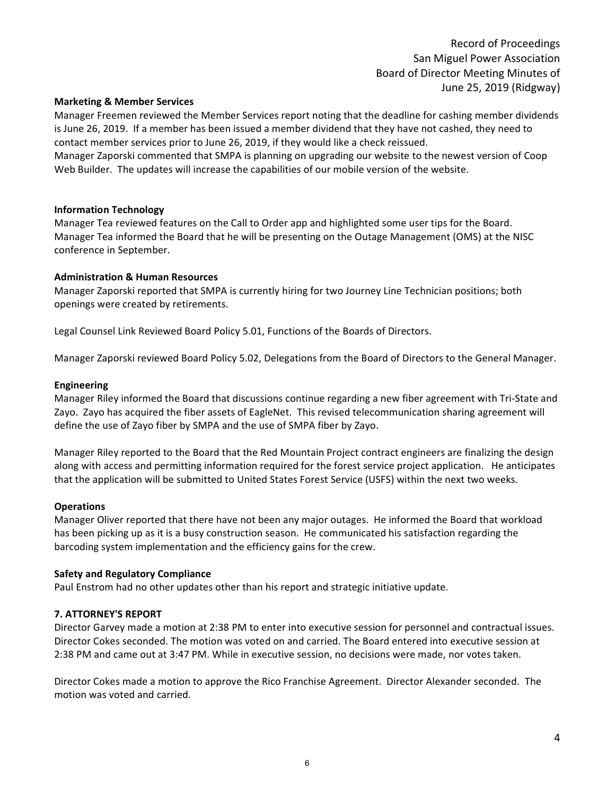Record of Proceedings San Miguel Power Association Board of Director Meeting Minutes of June 25, 2019 (Ridgway)

#### Marketing & Member Services

Manager Freemen reviewed the Member Services report noting that the deadline for cashing member dividends is June 26, 2019. If a member has been issued a member dividend that they have not cashed, they need to contact member services prior to June 26, 2019, if they would like a check reissued.

Manager Zaporski commented that SMPA is planning on upgrading our website to the newest version of Coop Web Builder. The updates will increase the capabilities of our mobile version of the website.

### Information Technology

Manager Tea reviewed features on the Call to Order app and highlighted some user tips for the Board. Manager Tea informed the Board that he will be presenting on the Outage Management (OMS) at the NISC conference in September.

### Administration & Human Resources

Manager Zaporski reported that SMPA is currently hiring for two Journey Line Technician positions; both openings were created by retirements.

Legal Counsel Link Reviewed Board Policy 5.01, Functions of the Boards of Directors.

Manager Zaporski reviewed Board Policy 5.02, Delegations from the Board of Directors to the General Manager.

#### Engineering

Manager Riley informed the Board that discussions continue regarding a new fiber agreement with Tri-State and Zayo. Zayo has acquired the fiber assets of EagleNet. This revised telecommunication sharing agreement will define the use of Zayo fiber by SMPA and the use of SMPA fiber by Zayo.

Manager Riley reported to the Board that the Red Mountain Project contract engineers are finalizing the design along with access and permitting information required for the forest service project application. He anticipates that the application will be submitted to United States Forest Service (USFS) within the next two weeks.

#### **Operations**

Manager Oliver reported that there have not been any major outages. He informed the Board that workload has been picking up as it is a busy construction season. He communicated his satisfaction regarding the barcoding system implementation and the efficiency gains for the crew.

#### Safety and Regulatory Compliance

Paul Enstrom had no other updates other than his report and strategic initiative update.

### 7. ATTORNEY'S REPORT

Director Garvey made a motion at 2:38 PM to enter into executive session for personnel and contractual issues. Director Cokes seconded. The motion was voted on and carried. The Board entered into executive session at 2:38 PM and came out at 3:47 PM. While in executive session, no decisions were made, nor votes taken.

Director Cokes made a motion to approve the Rico Franchise Agreement. Director Alexander seconded. The motion was voted and carried.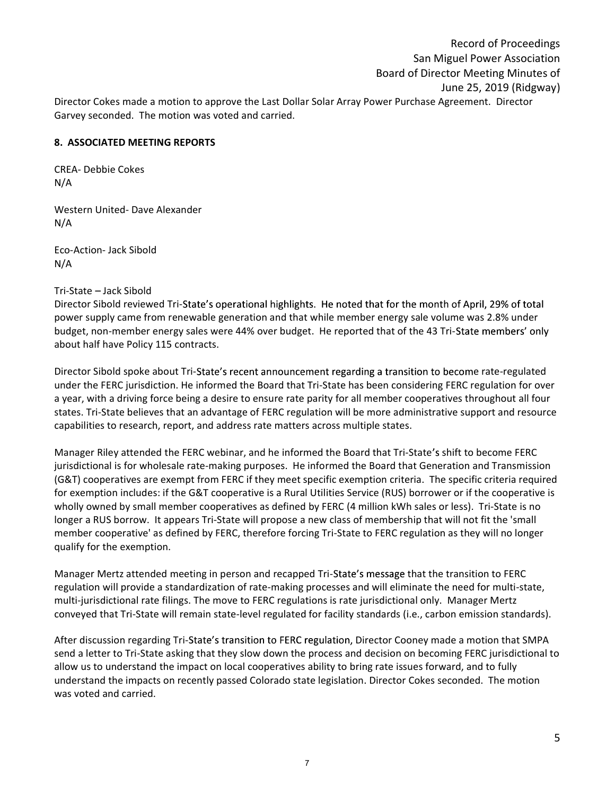Record of Proceedings San Miguel Power Association Board of Director Meeting Minutes of June 25, 2019 (Ridgway) Director Cokes made a motion to approve the Last Dollar Solar Array Power Purchase Agreement. Director Garvey seconded. The motion was voted and carried.

### 8. ASSOCIATED MEETING REPORTS

CREA- Debbie Cokes N/A

Western United- Dave Alexander N/A

Eco-Action- Jack Sibold N/A

### Tri-State - Jack Sibold

Director Sibold reviewed Tri-State's operational highlights. He noted that for the month of April, 29% of total power supply came from renewable generation and that while member energy sale volume was 2.8% under budget, non-member energy sales were 44% over budget. He reported that of the 43 Tri-State members' only about half have Policy 115 contracts.

Director Sibold spoke about Tri-State's recent announcement regarding a transition to become rate-regulated under the FERC jurisdiction. He informed the Board that Tri-State has been considering FERC regulation for over a year, with a driving force being a desire to ensure rate parity for all member cooperatives throughout all four states. Tri-State believes that an advantage of FERC regulation will be more administrative support and resource capabilities to research, report, and address rate matters across multiple states.

Manager Riley attended the FERC webinar, and he informed the Board that Tri-State's shift to become FERC jurisdictional is for wholesale rate-making purposes. He informed the Board that Generation and Transmission (G&T) cooperatives are exempt from FERC if they meet specific exemption criteria. The specific criteria required for exemption includes: if the G&T cooperative is a Rural Utilities Service (RUS) borrower or if the cooperative is wholly owned by small member cooperatives as defined by FERC (4 million kWh sales or less). Tri-State is no longer a RUS borrow. It appears Tri-State will propose a new class of membership that will not fit the 'small member cooperative' as defined by FERC, therefore forcing Tri-State to FERC regulation as they will no longer qualify for the exemption.

Manager Mertz attended meeting in person and recapped Tri-State's message that the transition to FERC regulation will provide a standardization of rate-making processes and will eliminate the need for multi-state, multi-jurisdictional rate filings. The move to FERC regulations is rate jurisdictional only. Manager Mertz conveyed that Tri-State will remain state-level regulated for facility standards (i.e., carbon emission standards).

After discussion regarding Tri-State's transition to FERC regulation, Director Cooney made a motion that SMPA send a letter to Tri-State asking that they slow down the process and decision on becoming FERC jurisdictional to allow us to understand the impact on local cooperatives ability to bring rate issues forward, and to fully understand the impacts on recently passed Colorado state legislation. Director Cokes seconded. The motion was voted and carried.